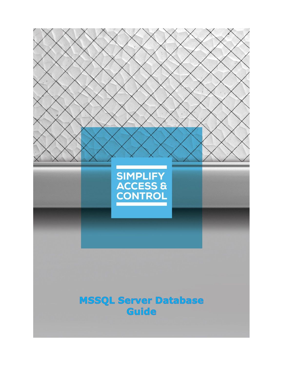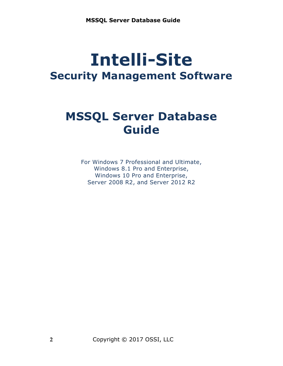# **Intelli-Site Security Management Software**

## **MSSQL Server Database Guide**

For Windows 7 Professional and Ultimate, Windows 8.1 Pro and Enterprise, Windows 10 Pro and Enterprise, Server 2008 R2, and Server 2012 R2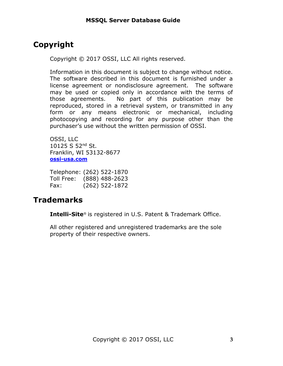### <span id="page-2-0"></span>**Copyright**

Copyright © 2017 OSSI, LLC All rights reserved.

Information in this document is subject to change without notice. The software described in this document is furnished under a license agreement or nondisclosure agreement. The software may be used or copied only in accordance with the terms of those agreements. No part of this publication may be reproduced, stored in a retrieval system, or transmitted in any form or any means electronic or mechanical, including photocopying and recording for any purpose other than the purchaser's use without the written permission of OSSI.

OSSI, LLC 10125 S 52nd St. Franklin, WI 53132-8677 **[ossi-usa.com](http://ossi-usa.com/)**

Telephone: (262) 522-1870 Toll Free: (888) 488-2623 Fax: (262) 522-1872

### <span id="page-2-1"></span>**Trademarks**

**Intelli-Site**® is registered in U.S. Patent & Trademark Office.

All other registered and unregistered trademarks are the sole property of their respective owners.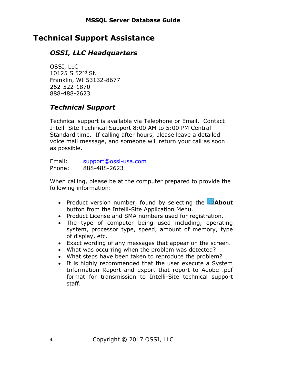### <span id="page-3-0"></span>**Technical Support Assistance**

### *OSSI, LLC Headquarters*

OSSI, LLC 10125 S 52nd St. Franklin, WI 53132-8677 262-522-1870 888-488-2623

### *Technical Support*

Technical support is available via Telephone or Email. Contact Intelli-Site Technical Support 8:00 AM to 5:00 PM Central Standard time. If calling after hours, please leave a detailed voice mail message, and someone will return your call as soon as possible.

Email: [support@ossi-usa.com](mailto:support@ossi-usa.com) Phone: 888-488-2623

When calling, please be at the computer prepared to provide the following information:

- Product version number, found by selecting the **C**About button from the Intelli-Site Application Menu.
- Product License and SMA numbers used for registration.
- The type of computer being used including, operating system, processor type, speed, amount of memory, type of display, etc.
- Exact wording of any messages that appear on the screen.
- What was occurring when the problem was detected?
- What steps have been taken to reproduce the problem?
- It is highly recommended that the user execute a System Information Report and export that report to Adobe .pdf format for transmission to Intelli-Site technical support staff.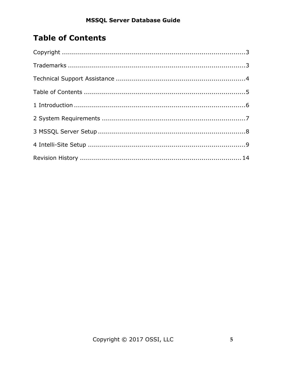### <span id="page-4-0"></span>**Table of Contents**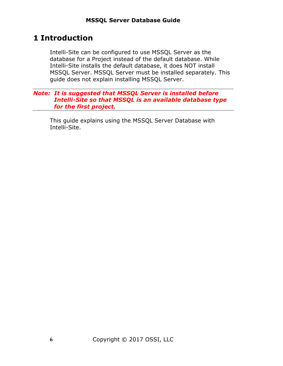### <span id="page-5-0"></span>**1 Introduction**

Intelli-Site can be configured to use MSSQL Server as the database for a Project instead of the default database. While Intelli-Site installs the default database, it does NOT install MSSQL Server. MSSQL Server must be installed separately. This guide does not explain installing MSSQL Server.

#### *Note: It is suggested that MSSQL Server is installed before Intelli-Site so that MSSQL is an available database type for the first project.*

This guide explains using the MSSQL Server Database with Intelli-Site.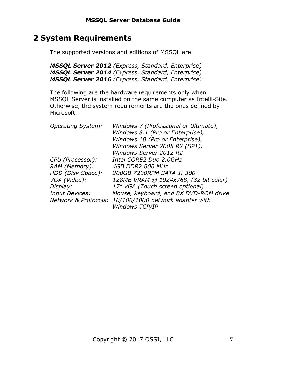### <span id="page-6-0"></span>**2 System Requirements**

The supported versions and editions of MSSQL are:

*MSSQL Server 2012 (Express, Standard, Enterprise) MSSQL Server 2014 (Express, Standard, Enterprise) MSSQL Server 2016 (Express, Standard, Enterprise)*

The following are the hardware requirements only when MSSQL Server is installed on the same computer as Intelli-Site. Otherwise, the system requirements are the ones defined by Microsoft.

| Windows 7 (Professional or Ultimate),                    |
|----------------------------------------------------------|
| Windows 8.1 (Pro or Enterprise),                         |
| Windows 10 (Pro or Enterprise),                          |
| Windows Server 2008 R2 (SP1),                            |
| <b>Windows Server 2012 R2</b>                            |
| Intel CORE2 Duo 2.0GHz                                   |
| 4GB DDR2 800 MHz                                         |
| 200GB 7200RPM SATA-II 300                                |
| 128MB VRAM @ 1024x768, (32 bit color)                    |
| 17" VGA (Touch screen optional)                          |
| Mouse, keyboard, and 8X DVD-ROM drive                    |
| Network & Protocols:<br>10/100/1000 network adapter with |
| <b>Windows TCP/IP</b>                                    |
|                                                          |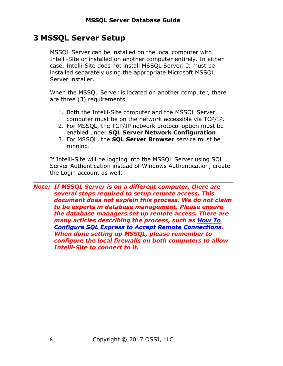### <span id="page-7-0"></span>**3 MSSQL Server Setup**

MSSQL Server can be installed on the local computer with Intelli-Site or installed on another computer entirely. In either case, Intelli-Site does not install MSSQL Server. It must be installed separately using the appropriate Microsoft MSSQL Server installer.

When the MSSQL Server is located on another computer, there are three (3) requirements.

- 1. Both the Intelli-Site computer and the MSSQL Server computer must be on the network accessible via TCP/IP.
- 2. For MSSQL, the TCP/IP network protocol option must be enabled under **SQL Server Network Configuration**.
- 3. For MSSQL, the **SQL Server Browser** service must be running.

If Intelli-Site will be logging into the MSSQL Server using SQL Server Authentication instead of Windows Authentication, create the Login account as well.

```
Note: If MSSQL Server is on a different computer, there are 
several steps required to setup remote access. This
document does not explain this process. We do not claim 
to be experts in database management. Please ensure 
the database managers set up remote access. There are 
many articles describing the process, such as How To 
Configure SQL Express to Accept Remote Connections. 
When done setting up MSSQL, please remember to 
configure the local firewalls on both computers to allow 
Intelli-Site to connect to it.
```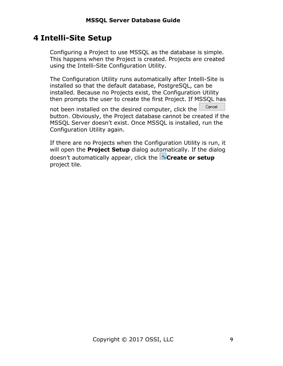### <span id="page-8-0"></span>**4 Intelli-Site Setup**

Configuring a Project to use MSSQL as the database is simple. This happens when the Project is created. Projects are created using the Intelli-Site Configuration Utility.

The Configuration Utility runs automatically after Intelli-Site is installed so that the default database, PostgreSQL, can be installed. Because no Projects exist, the Configuration Utility then prompts the user to create the first Project. If MSSQL has

Cancel not been installed on the desired computer, click the button. Obviously, the Project database cannot be created if the MSSQL Server doesn't exist. Once MSSQL is installed, run the Configuration Utility again.

If there are no Projects when the Configuration Utility is run, it will open the **Project Setup** dialog automatically. If the dialog doesn't automatically appear, click the **Create or setup**  project tile.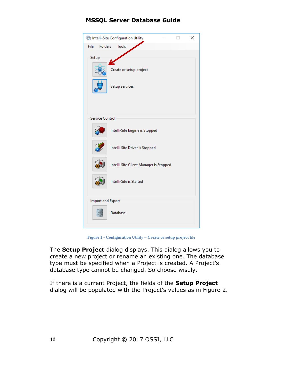#### **MSSQL Server Database Guide**



**Figure 1 - Configuration Utility – Create or setup project tile**

The **Setup Project** dialog displays. This dialog allows you to create a new project or rename an existing one. The database type must be specified when a Project is created. A Project's database type cannot be changed. So choose wisely.

If there is a current Project, the fields of the **Setup Project**  dialog will be populated with the Project's values as in Figure 2.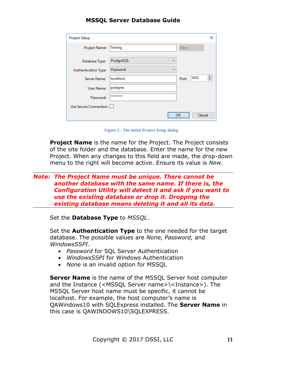|  |  | <b>MSSQL Server Database Guide</b> |  |
|--|--|------------------------------------|--|
|--|--|------------------------------------|--|

| <b>Project Setup</b>        |                            |            |              | ×                        |
|-----------------------------|----------------------------|------------|--------------|--------------------------|
| Project Name:               | <b>Testing</b>             | <b>New</b> | $\checkmark$ |                          |
| Database Type:              | PostgreSQL<br>$\checkmark$ |            |              |                          |
| <b>Authentication Type:</b> | Password<br>$\checkmark$   |            |              |                          |
| Server Name:                | localhost                  | Port:      | 5432         | $\overline{\phantom{0}}$ |
| User Name:                  | postgres                   |            |              |                          |
| Password:                   | ********                   |            |              |                          |
| Use Secure Connection:      |                            |            |              |                          |
|                             |                            | <b>OK</b>  | Cancel       |                          |

**Figure 2 - The initial Project Setup dialog**

**Project Name** is the name for the Project. The Project consists of the site folder and the database. Enter the name for the new Project. When any changes to this field are made, the drop-down menu to the right will become active. Ensure its value is *New*.

#### *Note: The Project Name must be unique. There cannot be another database with the same name. If there is, the Configuration Utility will detect it and ask if you want to use the existing database or drop it. Dropping the existing database means deleting it and all its data.*

Set the **Database Type** to *MSSQL*.

Set the **Authentication Type** to the one needed for the target database. The possible values are *None, Password,* and *WindowsSSPI*.

- *Password* for SQL Server Authentication
- *WindowsSSPI* for Windows Authentication
- *None* is an invalid option for MSSQL

**Server Name** is the name of the MSSQL Server host computer and the Instance (<MSSQL Server name>\<Instance>). The MSSQL Server host name must be specific, it cannot be localhost. For example, the host computer's name is QAWindows10 with SQLExpress installed. The **Server Name** in this case is QAWINDOWS10\SQLEXPRESS.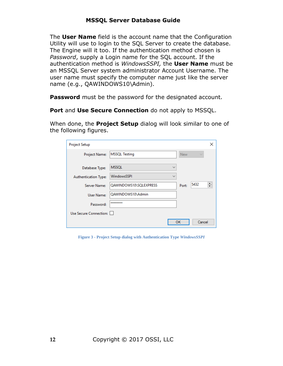#### **MSSQL Server Database Guide**

The **User Name** field is the account name that the Configuration Utility will use to login to the SQL Server to create the database. The Engine will it too. If the authentication method chosen is *Password*, supply a Login name for the SQL account. If the authentication method is *WindowsSSPI,* the **User Name** must be an MSSQL Server system administrator Account Username. The user name must specify the computer name just like the server name (e.g., QAWINDOWS10\Admin).

**Password** must be the password for the designated account.

**Port** and **Use Secure Connection** do not apply to MSSQL.

When done, the **Project Setup** dialog will look similar to one of the following figures.

| <b>Project Setup</b>        |                        |              |            |        | ×      |
|-----------------------------|------------------------|--------------|------------|--------|--------|
| Project Name:               | <b>MSSQL Testing</b>   |              | <b>New</b> | $\sim$ |        |
| Database Type:              | <b>MSSOL</b>           | $\checkmark$ |            |        |        |
| <b>Authentication Type:</b> | <b>WindowsSSPI</b>     | $\checkmark$ |            |        |        |
| Server Name:                | QAWINDOWS10\SQLEXPRESS |              | Port:      | 5432   | $\div$ |
| User Name:                  | QAWINDOWS10\Admin      |              |            |        |        |
| Password:                   | ********               |              |            |        |        |
| Use Secure Connection:      |                        |              |            |        |        |
|                             |                        |              | ок         | Cancel |        |

**Figure 3 - Project Setup dialog with Authentication Type** *WindowsSSPI*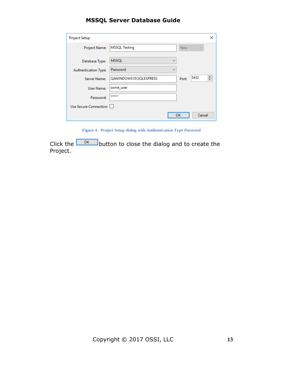| <b>Project Setup</b>        |                                    | ×         |
|-----------------------------|------------------------------------|-----------|
| Project Name:               | <b>MSSQL Testing</b><br><b>New</b> | $\sim$    |
| Database Type:              | <b>MSSQL</b><br>$\checkmark$       |           |
| <b>Authentication Type:</b> | Password<br>$\checkmark$           |           |
| Server Name:                | QAWINDOWS10\SQLEXPRESS<br>Port:    | 5432<br>÷ |
| User Name:                  | some_user                          |           |
| Password:                   | *****                              |           |
| Use Secure Connection:      |                                    |           |
|                             | ок                                 | Cancel    |

### **MSSQL Server Database Guide**

**Figure 4 - Project Setup dialog with Authentication Type** *Password*

Click the  $\frac{0K}{10K}$  button to close the dialog and to create the Project.